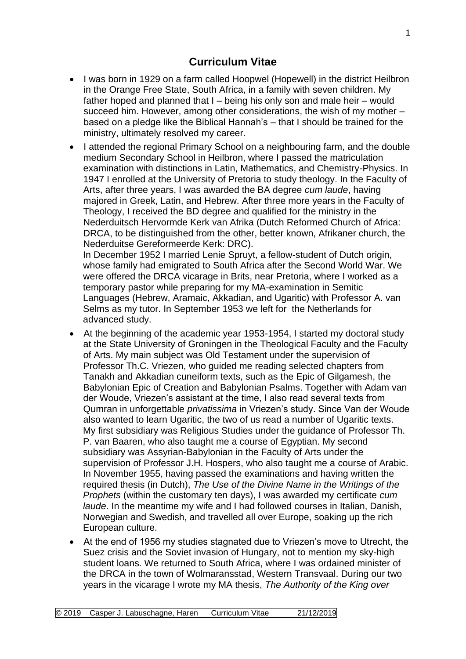## **Curriculum Vitae**

- I was born in 1929 on a farm called Hoopwel (Hopewell) in the district Heilbron in the Orange Free State, South Africa, in a family with seven children. My father hoped and planned that I – being his only son and male heir – would succeed him. However, among other considerations, the wish of my mother – based on a pledge like the Biblical Hannah's – that I should be trained for the ministry, ultimately resolved my career.
- I attended the regional Primary School on a neighbouring farm, and the double medium Secondary School in Heilbron, where I passed the matriculation examination with distinctions in Latin, Mathematics, and Chemistry-Physics. In 1947 I enrolled at the University of Pretoria to study theology. In the Faculty of Arts, after three years, I was awarded the BA degree *cum laude*, having majored in Greek, Latin, and Hebrew. After three more years in the Faculty of Theology, I received the BD degree and qualified for the ministry in the Nederduitsch Hervormde Kerk van Afrika (Dutch Reformed Church of Africa: DRCA, to be distinguished from the other, better known, Afrikaner church, the Nederduitse Gereformeerde Kerk: DRC).

In December 1952 I married Lenie Spruyt, a fellow-student of Dutch origin, whose family had emigrated to South Africa after the Second World War. We were offered the DRCA vicarage in Brits, near Pretoria, where I worked as a temporary pastor while preparing for my MA-examination in Semitic Languages (Hebrew, Aramaic, Akkadian, and Ugaritic) with Professor A. van Selms as my tutor. In September 1953 we left for the Netherlands for advanced study.

- At the beginning of the academic year 1953-1954, I started my doctoral study at the State University of Groningen in the Theological Faculty and the Faculty of Arts. My main subject was Old Testament under the supervision of Professor Th.C. Vriezen, who guided me reading selected chapters from Tanakh and Akkadian cuneiform texts, such as the Epic of Gilgamesh, the Babylonian Epic of Creation and Babylonian Psalms. Together with Adam van der Woude, Vriezen's assistant at the time, I also read several texts from Qumran in unforgettable *privatissima* in Vriezen's study. Since Van der Woude also wanted to learn Ugaritic, the two of us read a number of Ugaritic texts. My first subsidiary was Religious Studies under the guidance of Professor Th. P. van Baaren, who also taught me a course of Egyptian. My second subsidiary was Assyrian-Babylonian in the Faculty of Arts under the supervision of Professor J.H. Hospers, who also taught me a course of Arabic. In November 1955, having passed the examinations and having written the required thesis (in Dutch), *The Use of the Divine Name in the Writings of the Prophets* (within the customary ten days), I was awarded my certificate *cum laude*. In the meantime my wife and I had followed courses in Italian, Danish, Norwegian and Swedish, and travelled all over Europe, soaking up the rich European culture.
- At the end of 1956 my studies stagnated due to Vriezen's move to Utrecht, the Suez crisis and the Soviet invasion of Hungary, not to mention my sky-high student loans. We returned to South Africa, where I was ordained minister of the DRCA in the town of Wolmaransstad, Western Transvaal. During our two years in the vicarage I wrote my MA thesis, *The Authority of the King over*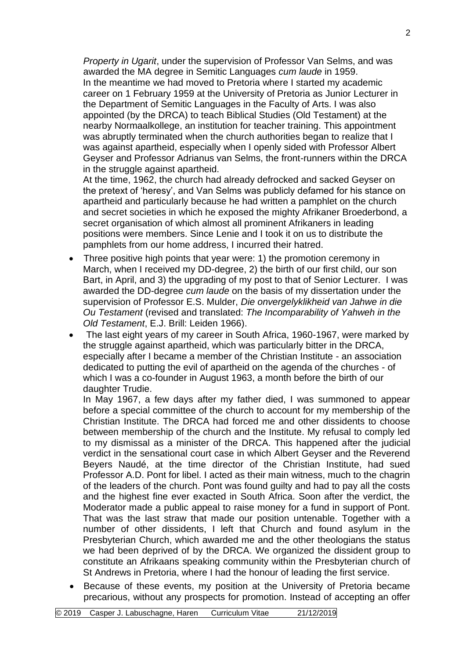*Property in Ugarit*, under the supervision of Professor Van Selms, and was awarded the MA degree in Semitic Languages *cum laude* in 1959. In the meantime we had moved to Pretoria where I started my academic career on 1 February 1959 at the University of Pretoria as Junior Lecturer in the Department of Semitic Languages in the Faculty of Arts. I was also appointed (by the DRCA) to teach Biblical Studies (Old Testament) at the nearby Normaalkollege, an institution for teacher training. This appointment was abruptly terminated when the church authorities began to realize that I was against apartheid, especially when I openly sided with Professor Albert Geyser and Professor Adrianus van Selms, the front-runners within the DRCA in the struggle against apartheid.

At the time, 1962, the church had already defrocked and sacked Geyser on the pretext of 'heresy', and Van Selms was publicly defamed for his stance on apartheid and particularly because he had written a pamphlet on the church and secret societies in which he exposed the mighty Afrikaner Broederbond, a secret organisation of which almost all prominent Afrikaners in leading positions were members. Since Lenie and I took it on us to distribute the pamphlets from our home address, I incurred their hatred.

- Three positive high points that year were: 1) the promotion ceremony in March, when I received my DD-degree, 2) the birth of our first child, our son Bart, in April, and 3) the upgrading of my post to that of Senior Lecturer. I was awarded the DD-degree *cum laude* on the basis of my dissertation under the supervision of Professor E.S. Mulder, *Die onvergelyklikheid van Jahwe in die Ou Testament* (revised and translated: *The Incomparability of Yahweh in the Old Testament*, E.J. Brill: Leiden 1966).
- The last eight years of my career in South Africa, 1960-1967, were marked by the struggle against apartheid, which was particularly bitter in the DRCA, especially after I became a member of the Christian Institute - an association dedicated to putting the evil of apartheid on the agenda of the churches - of which I was a co-founder in August 1963, a month before the birth of our daughter Trudie.

In May 1967, a few days after my father died, I was summoned to appear before a special committee of the church to account for my membership of the Christian Institute. The DRCA had forced me and other dissidents to choose between membership of the church and the Institute. My refusal to comply led to my dismissal as a minister of the DRCA. This happened after the judicial verdict in the sensational court case in which Albert Geyser and the Reverend Beyers Naudé, at the time director of the Christian Institute, had sued Professor A.D. Pont for libel. I acted as their main witness, much to the chagrin of the leaders of the church. Pont was found guilty and had to pay all the costs and the highest fine ever exacted in South Africa. Soon after the verdict, the Moderator made a public appeal to raise money for a fund in support of Pont. That was the last straw that made our position untenable. Together with a number of other dissidents, I left that Church and found asylum in the Presbyterian Church, which awarded me and the other theologians the status we had been deprived of by the DRCA. We organized the dissident group to constitute an Afrikaans speaking community within the Presbyterian church of St Andrews in Pretoria, where I had the honour of leading the first service.

• Because of these events, my position at the University of Pretoria became precarious, without any prospects for promotion. Instead of accepting an offer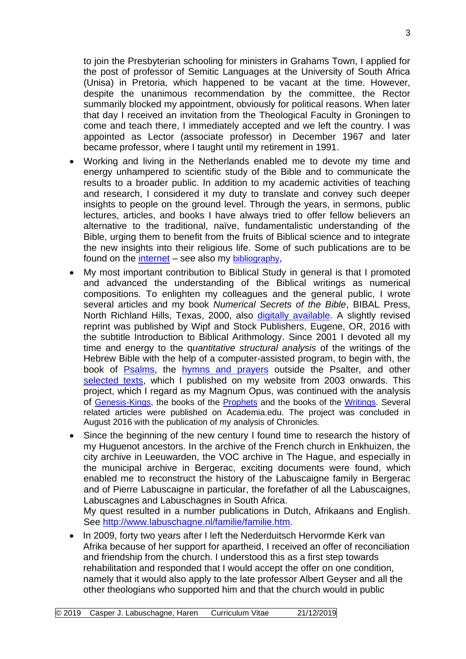to join the Presbyterian schooling for ministers in Grahams Town, I applied for the post of professor of Semitic Languages at the University of South Africa (Unisa) in Pretoria, which happened to be vacant at the time. However, despite the unanimous recommendation by the committee, the Rector summarily blocked my appointment, obviously for political reasons. When later that day I received an invitation from the Theological Faculty in Groningen to come and teach there, I immediately accepted and we left the country. I was appointed as Lector (associate professor) in December 1967 and later became professor, where I taught until my retirement in 1991.

- Working and living in the Netherlands enabled me to devote my time and energy unhampered to scientific study of the Bible and to communicate the results to a broader public. In addition to my academic activities of teaching and research, I considered it my duty to translate and convey such deeper insights to people on the ground level. Through the years, in sermons, public lectures, articles, and books I have always tried to offer fellow believers an alternative to the traditional, naïve, fundamentalistic understanding of the Bible, urging them to benefit from the fruits of Biblical science and to integrate the new insights into their religious life. Some of such publications are to be found on the [internet](http://www.labuschagne.nl/z%26oz/z%26oz.htm) – see also my [bibliography](http://www.labuschagne.nl/Bibliografie.pdf),
- My most important contribution to Biblical Study in general is that I promoted and advanced the understanding of the Biblical writings as numerical compositions. To enlighten my colleagues and the general public, I wrote several articles and my book *Numerical Secrets of the Bible*, BIBAL Press, North Richland Hills, Texas, 2000, also [digitally available.](http://www.labuschagne.nl/z%26oz/book.htm) A slightly revised reprint was published by Wipf and Stock Publishers, Eugene, OR, 2016 with the subtitle Introduction to Biblical Arithmology. Since 2001 I devoted all my time and energy to the q*uantitative structural analysis* of the writings of the Hebrew Bible with the help of a computer-assisted program, to begin with, the book of [Psalms,](http://www.labuschagne.nl/psalms.htm) the [hymns and prayers](http://www.labuschagne.nl/psalms.htm) outside the Psalter*,* and other [selected texts,](http://www.labuschagne.nl/psalms.htm) which I published on my website from 2003 onwards. This project, which I regard as my Magnum Opus, was continued with the analysis of [Genesis-Kings,](http://www.labuschagne.nl/genesis-kings.htm) the books of the [Prophets](http://www.labuschagne.nl/prophets.htm) and the books of the [Writings.](http://www.labuschagne.nl/ketubim.htm) Several related articles were published on Academia.edu. The project was concluded in August 2016 with the publication of my analysis of Chronicles.
- Since the beginning of the new century I found time to research the history of my Huguenot ancestors. In the archive of the French church in Enkhuizen, the city archive in Leeuwarden, the VOC archive in The Hague, and especially in the municipal archive in Bergerac, exciting documents were found, which enabled me to reconstruct the history of the Labuscaigne family in Bergerac and of Pierre Labuscaigne in particular, the forefather of all the Labuscaignes, Labuscagnes and Labuschagnes in South Africa. My quest resulted in a number publications in Dutch, Afrikaans and English.

See [http://www.labuschagne.nl/familie/familie.htm.](http://www.labuschagne.nl/familie/familie.htm)

• In 2009, forty two years after I left the Nederduitsch Hervormde Kerk van Afrika because of her support for apartheid, I received an offer of reconciliation and friendship from the church. I understood this as a first step towards rehabilitation and responded that I would accept the offer on one condition, namely that it would also apply to the late professor Albert Geyser and all the other theologians who supported him and that the church would in public